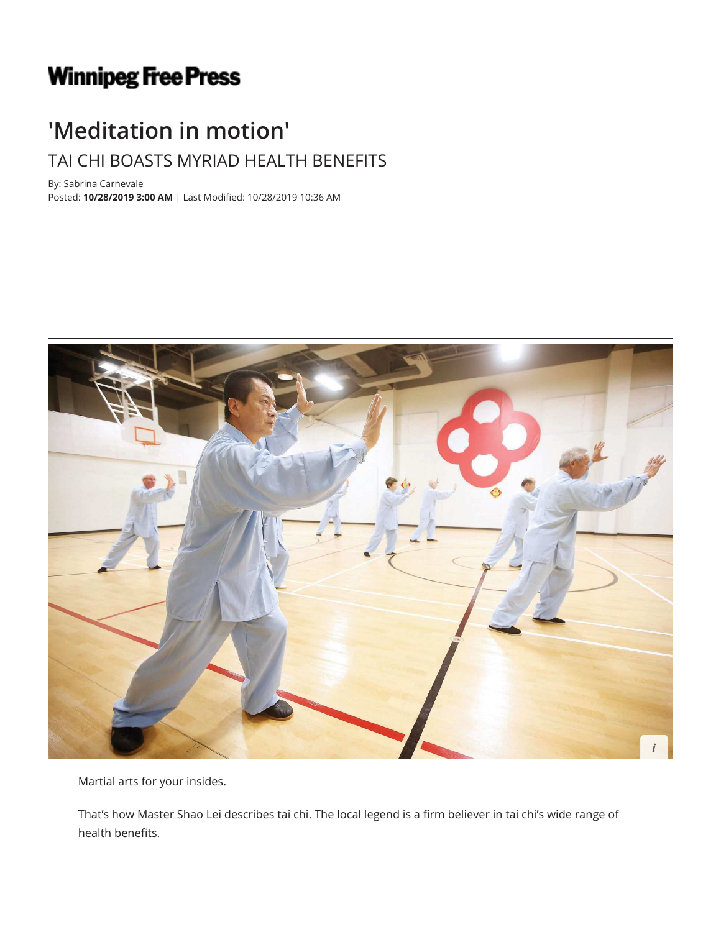## **Winnipeg Free Press**

## **'Meditation in motion'** TAI CHI BOASTS MYRIAD HEALTH BENEFITS

By: Sabrina Carnevale Posted: **10/28/2019 3:00 AM** | Last Modified: 10/28/2019 10:36 AM



Martial arts for your insides.

That's how Master Shao Lei describes tai chi. The local legend is a firm believer in tai chi's wide range of health benefits.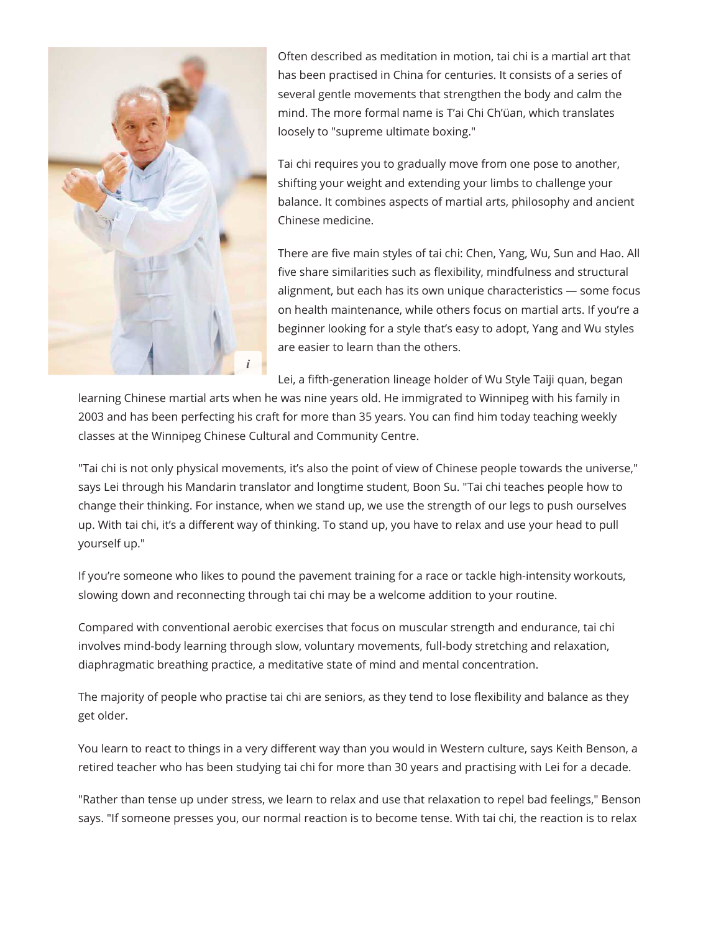

Often described as meditation in motion, tai chi is a martial art that has been practised in China for centuries. It consists of a series of several gentle movements that strengthen the body and calm the mind. The more formal name is T'ai Chi Ch'üan, which translates loosely to "supreme ultimate boxing."

Tai chi requires you to gradually move from one pose to another, shifting your weight and extending your limbs to challenge your balance. It combines aspects of martial arts, philosophy and ancient Chinese medicine.

There are five main styles of tai chi: Chen, Yang, Wu, Sun and Hao. All five share similarities such as flexibility, mindfulness and structural alignment, but each has its own unique characteristics — some focus on health maintenance, while others focus on martial arts. If you're a beginner looking for a style that's easy to adopt, Yang and Wu styles are easier to learn than the others.

Lei, a fifth-generation lineage holder of Wu Style Taiji quan, began

learning Chinese martial arts when he was nine years old. He immigrated to Winnipeg with his family in 2003 and has been perfecting his craft for more than 35 years. You can find him today teaching weekly classes at the Winnipeg Chinese Cultural and Community Centre.

"Tai chi is not only physical movements, it's also the point of view of Chinese people towards the universe," says Lei through his Mandarin translator and longtime student, Boon Su. "Tai chi teaches people how to change their thinking. For instance, when we stand up, we use the strength of our legs to push ourselves up. With tai chi, it's a different way of thinking. To stand up, you have to relax and use your head to pull yourself up."

If you're someone who likes to pound the pavement training for a race or tackle high-intensity workouts, slowing down and reconnecting through tai chi may be a welcome addition to your routine.

Compared with conventional aerobic exercises that focus on muscular strength and endurance, tai chi involves mind-body learning through slow, voluntary movements, full-body stretching and relaxation, diaphragmatic breathing practice, a meditative state of mind and mental concentration.

The majority of people who practise tai chi are seniors, as they tend to lose flexibility and balance as they get older.

You learn to react to things in a very different way than you would in Western culture, says Keith Benson, a retired teacher who has been studying tai chi for more than 30 years and practising with Lei for a decade.

"Rather than tense up under stress, we learn to relax and use that relaxation to repel bad feelings," Benson says. "If someone presses you, our normal reaction is to become tense. With tai chi, the reaction is to relax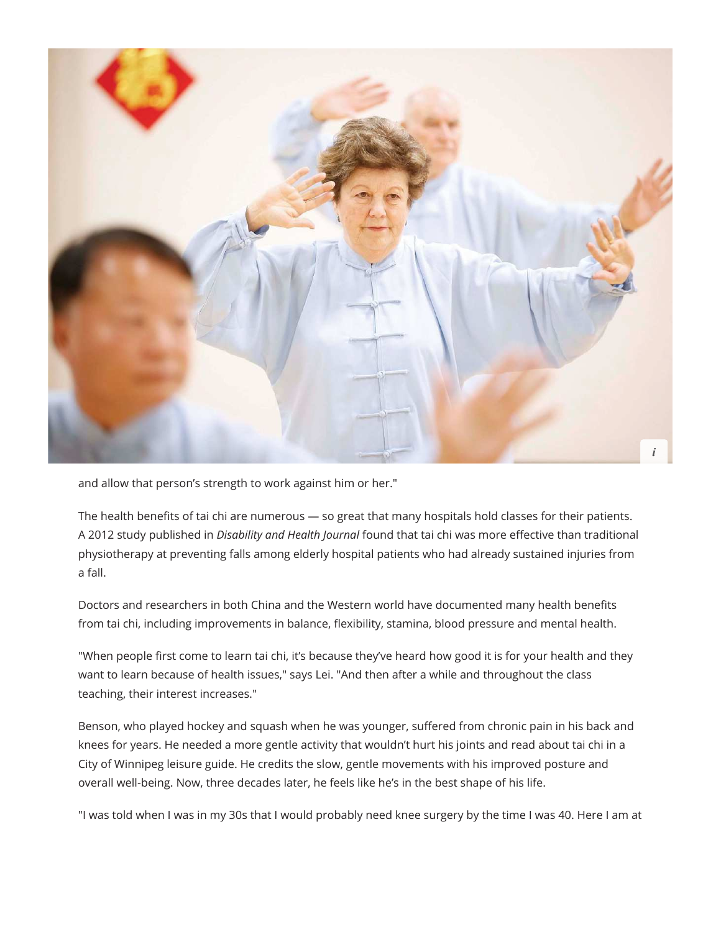

and allow that person's strength to work against him or her."

The health benefits of tai chi are numerous — so great that many hospitals hold classes for their patients. A 2012 study published in *Disability and Health Journal* found that tai chi was more effective than traditional physiotherapy at preventing falls among elderly hospital patients who had already sustained injuries from a fall.

Doctors and researchers in both China and the Western world have documented many health benefits from tai chi, including improvements in balance, flexibility, stamina, blood pressure and mental health.

"When people first come to learn tai chi, it's because they've heard how good it is for your health and they want to learn because of health issues," says Lei. "And then after a while and throughout the class teaching, their interest increases."

Benson, who played hockey and squash when he was younger, suffered from chronic pain in his back and knees for years. He needed a more gentle activity that wouldn't hurt his joints and read about tai chi in a City of Winnipeg leisure guide. He credits the slow, gentle movements with his improved posture and overall well-being. Now, three decades later, he feels like he's in the best shape of his life.

"I was told when I was in my 30s that I would probably need knee surgery by the time I was 40. Here I am at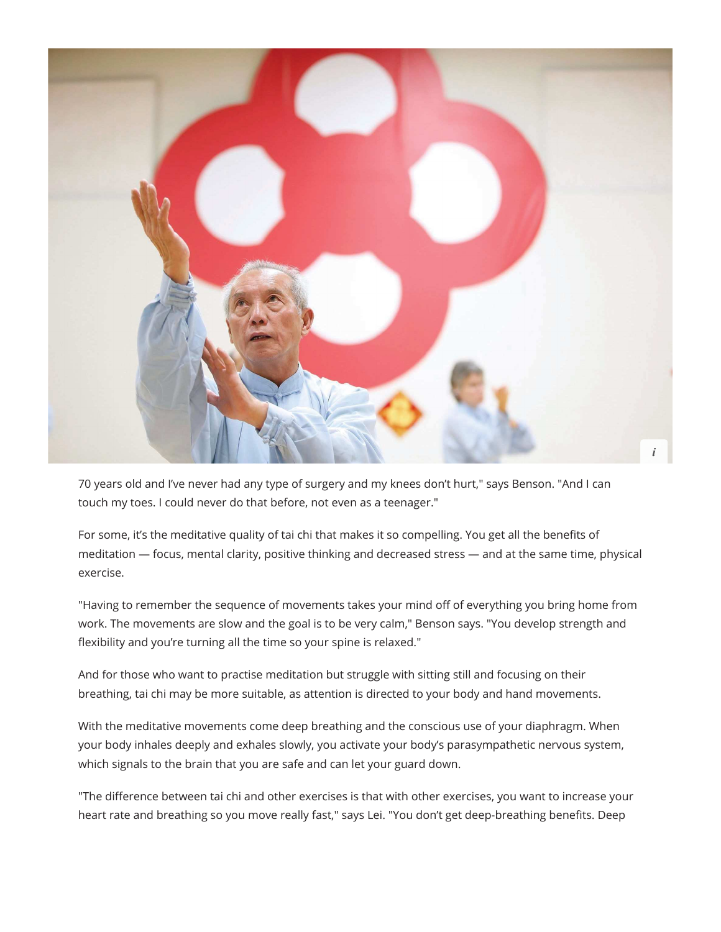

70 years old and I've never had any type of surgery and my knees don't hurt," says Benson. "And I can touch my toes. I could never do that before, not even as a teenager."

For some, it's the meditative quality of tai chi that makes it so compelling. You get all the benefits of meditation — focus, mental clarity, positive thinking and decreased stress — and at the same time, physical exercise.

"Having to remember the sequence of movements takes your mind off of everything you bring home from work. The movements are slow and the goal is to be very calm," Benson says. "You develop strength and flexibility and you're turning all the time so your spine is relaxed."

And for those who want to practise meditation but struggle with sitting still and focusing on their breathing, tai chi may be more suitable, as attention is directed to your body and hand movements.

With the meditative movements come deep breathing and the conscious use of your diaphragm. When your body inhales deeply and exhales slowly, you activate your body's parasympathetic nervous system, which signals to the brain that you are safe and can let your guard down.

"The difference between tai chi and other exercises is that with other exercises, you want to increase your heart rate and breathing so you move really fast," says Lei. "You don't get deep-breathing benefits. Deep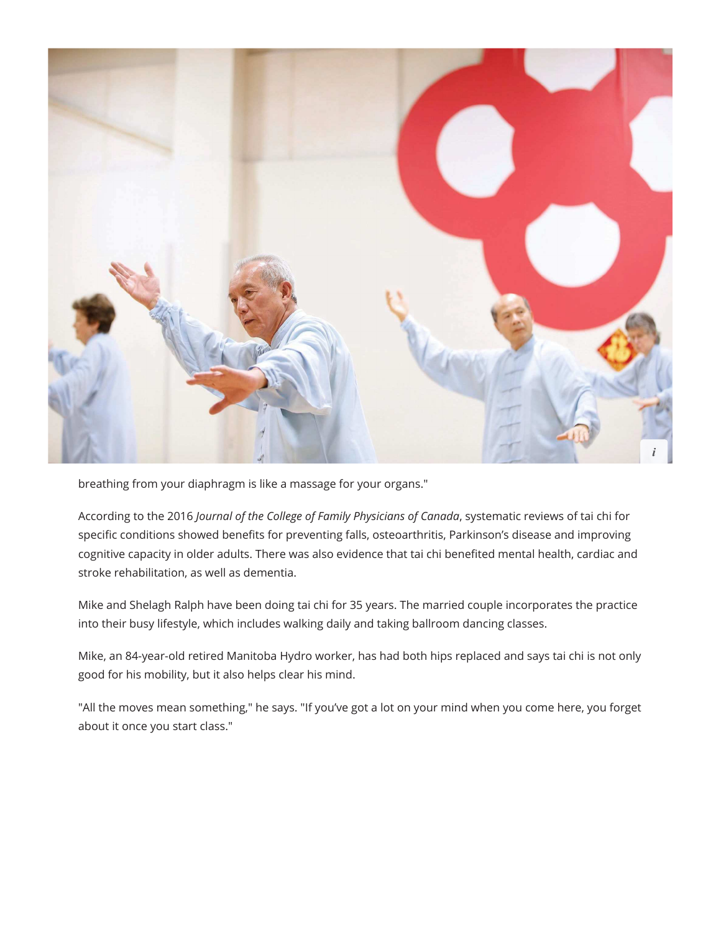

breathing from your diaphragm is like a massage for your organs."

According to the 2016 *Journal of the College of Family Physicians of Canada*, systematic reviews of tai chi for specific conditions showed benefits for preventing falls, osteoarthritis, Parkinson's disease and improving cognitive capacity in older adults. There was also evidence that tai chi benefited mental health, cardiac and stroke rehabilitation, as well as dementia.

Mike and Shelagh Ralph have been doing tai chi for 35 years. The married couple incorporates the practice into their busy lifestyle, which includes walking daily and taking ballroom dancing classes.

Mike, an 84-year-old retired Manitoba Hydro worker, has had both hips replaced and says tai chi is not only good for his mobility, but it also helps clear his mind.

"All the moves mean something," he says. "If you've got a lot on your mind when you come here, you forget about it once you start class."